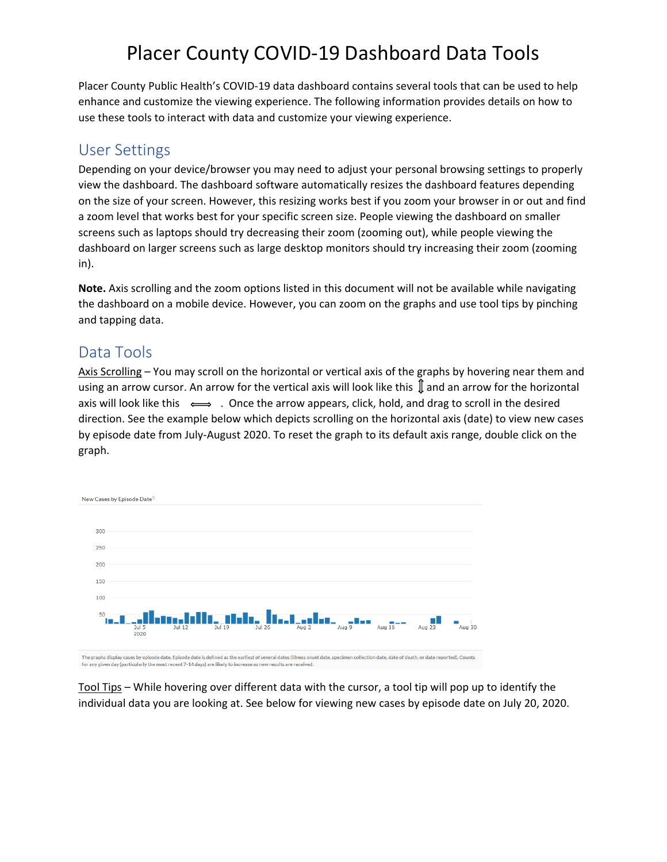# Placer County COVID-19 Dashboard Data Tools

Placer County Public Health's COVID-19 data dashboard contains several tools that can be used to help enhance and customize the viewing experience. The following information provides details on how to use these tools to interact with data and customize your viewing experience.

## User Settings

Depending on your device/browser you may need to adjust your personal browsing settings to properly view the dashboard. The dashboard software automatically resizes the dashboard features depending on the size of your screen. However, this resizing works best if you zoom your browser in or out and find a zoom level that works best for your specific screen size. People viewing the dashboard on smaller screens such as laptops should try decreasing their zoom (zooming out), while people viewing the dashboard on larger screens such as large desktop monitors should try increasing their zoom (zooming in).

**Note.** Axis scrolling and the zoom options listed in this document will not be available while navigating the dashboard on a mobile device. However, you can zoom on the graphs and use tool tips by pinching and tapping data.

### Data Tools

Axis Scrolling – You may scroll on the horizontal or vertical axis of the graphs by hovering near them and using an arrow cursor. An arrow for the vertical axis will look like this  $\mathbb I$  and an arrow for the horizontal axis will look like this  $\iff$ . Once the arrow appears, click, hold, and drag to scroll in the desired direction. See the example below which depicts scrolling on the horizontal axis (date) to view new cases by episode date from July-August 2020. To reset the graph to its default axis range, double click on the graph.



Tool Tips – While hovering over different data with the cursor, a tool tip will pop up to identify the individual data you are looking at. See below for viewing new cases by episode date on July 20, 2020.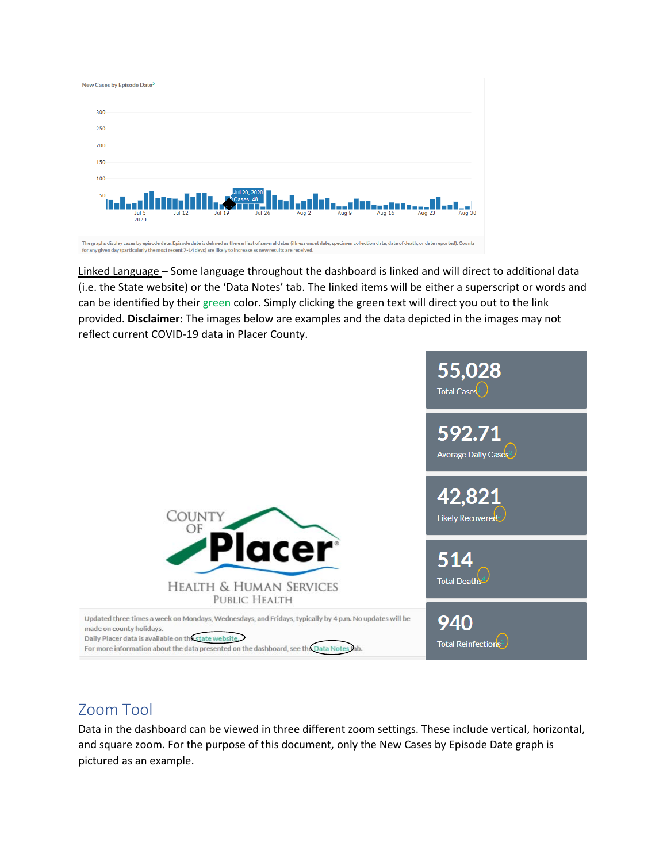

Linked Language – Some language throughout the dashboard is linked and will direct to additional data (i.e. the State website) or the 'Data Notes' tab. The linked items will be either a superscript or words and can be identified by their green color. Simply clicking the green text will direct you out to the link provided. **Disclaimer:** The images below are examples and the data depicted in the images may not reflect current COVID-19 data in Placer County.



## Zoom Tool

Data in the dashboard can be viewed in three different zoom settings. These include vertical, horizontal, and square zoom. For the purpose of this document, only the New Cases by Episode Date graph is pictured as an example.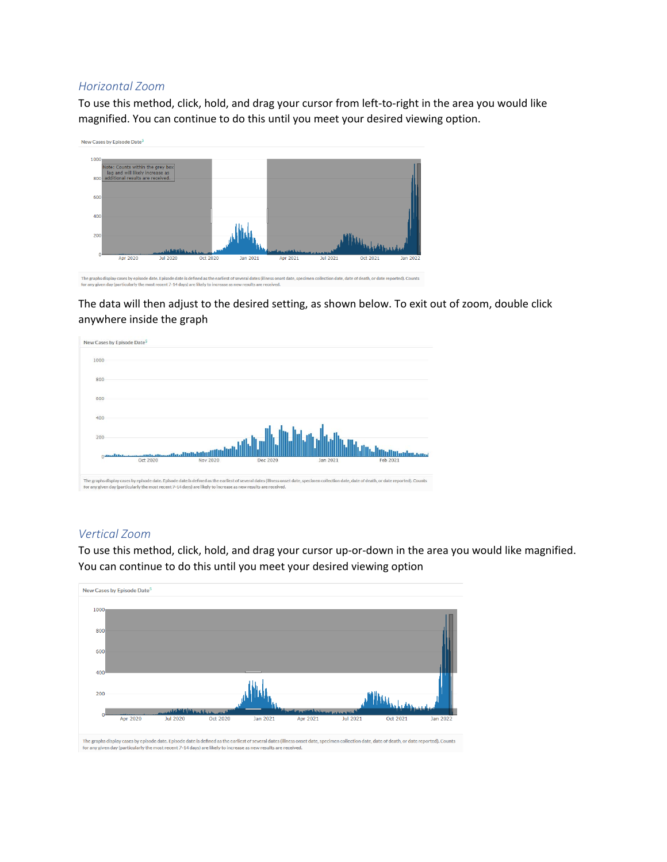### *Horizontal Zoom*

To use this method, click, hold, and drag your cursor from left-to-right in the area you would like magnified. You can continue to do this until you meet your desired viewing option.



The data will then adjust to the desired setting, as shown below. To exit out of zoom, double click anywhere inside the graph



### *Vertical Zoom*

To use this method, click, hold, and drag your cursor up-or-down in the area you would like magnified. You can continue to do this until you meet your desired viewing option

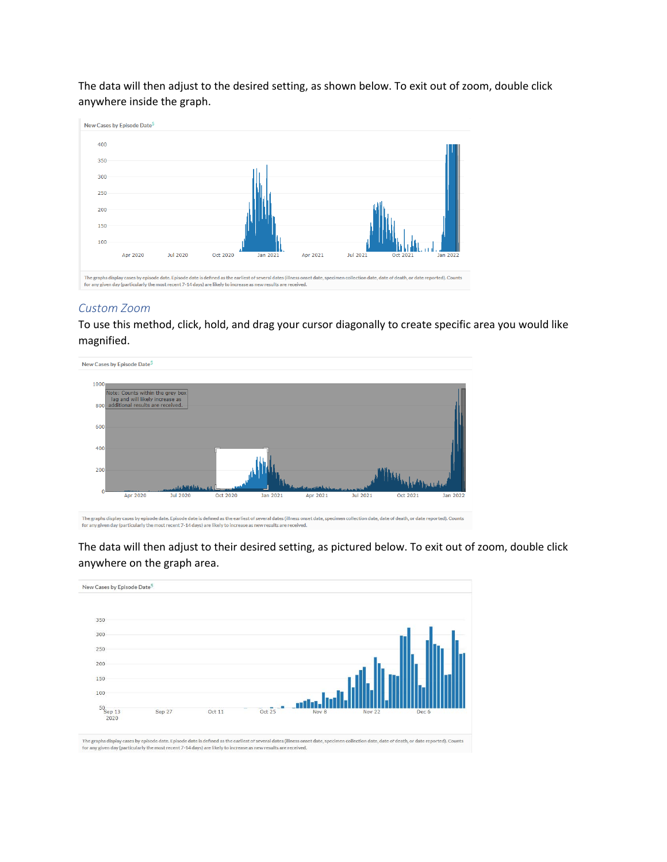The data will then adjust to the desired setting, as shown below. To exit out of zoom, double click anywhere inside the graph.



#### *Custom Zoom*

To use this method, click, hold, and drag your cursor diagonally to create specific area you would like magnified.



for any given day (particularly the most recent 7-14 days) are likely to increase as new results are received.

The data will then adjust to their desired setting, as pictured below. To exit out of zoom, double click anywhere on the graph area.



The graphs display cases by episode date. Episode date is defined as the earliest of several dates (illness onset date, specimen collection date, date of death, or date reported). Counts<br>for any given day (particularly the